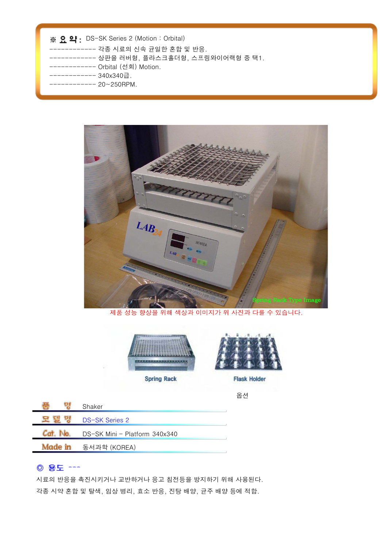#### ※ 요약: DS-SK Series 2 (Motion : Orbital)

- ------------ 각종 시료의 신속 균일한 혼합 및 반응.
- ------------ 상판을 러버형, 플라스크홀더형, 스프링와이어랙형 중 택1.
- ------------ Orbital (선회) Motion.
- ------------ 340x340급.
- ------------ 20~250RPM.



제품 성능 향상을 위해 색상과 이미지가 위 사진과 다를 수 있습니다.





**Flask Holder** 

옵션

|         | Shaker                        |
|---------|-------------------------------|
|         | DS-SK Series 2                |
|         | DS-SK Mini - Platform 340x340 |
| Made in | 동서과학 (KOREA)                  |
|         |                               |

# ◎ 용도 ---

시료의 반응을 촉진시키거나 교반하거나 응고 침전등을 방지하기 위해 사용된다. 각종 시약 혼합 및 탈색, 임상 병리, 효소 반응, 진탕 배양, 균주 배양 등에 적합.